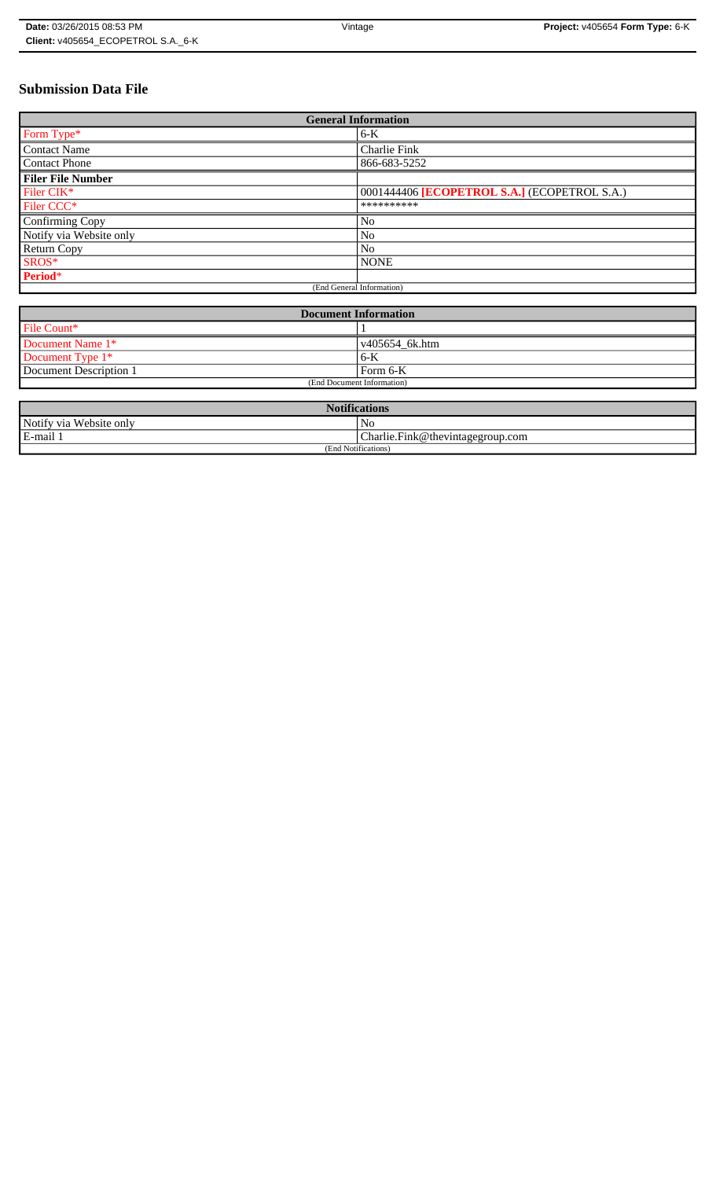# **Submission Data File**

| <b>General Information</b> |                                              |
|----------------------------|----------------------------------------------|
| Form Type*                 | $6-K$                                        |
| <b>Contact Name</b>        | Charlie Fink                                 |
| <b>Contact Phone</b>       | 866-683-5252                                 |
| <b>Filer File Number</b>   |                                              |
| Filer CIK*                 | 0001444406 [ECOPETROL S.A.] (ECOPETROL S.A.) |
| Filer CCC <sup>*</sup>     | **********                                   |
| Confirming Copy            | No                                           |
| Notify via Website only    | N <sub>o</sub>                               |
| <b>Return Copy</b>         | N <sub>o</sub>                               |
| SROS*                      | <b>NONE</b>                                  |
| Period*                    |                                              |
| (End General Information)  |                                              |

| <b>Document Information</b> |                        |
|-----------------------------|------------------------|
| File Count*                 |                        |
| Document Name 1*            | $\sqrt{405654}$ 6k.htm |
| Document Type 1*            | 6-K                    |
| Document Description 1      | Form 6-K               |
| (End Document Information)  |                        |

| <b>Notifications</b>    |                                  |  |
|-------------------------|----------------------------------|--|
| Notify via Website only | N <sub>0</sub>                   |  |
| E-mail 1                | Charlie.Fink@thevintagegroup.com |  |
| (End Notifications)     |                                  |  |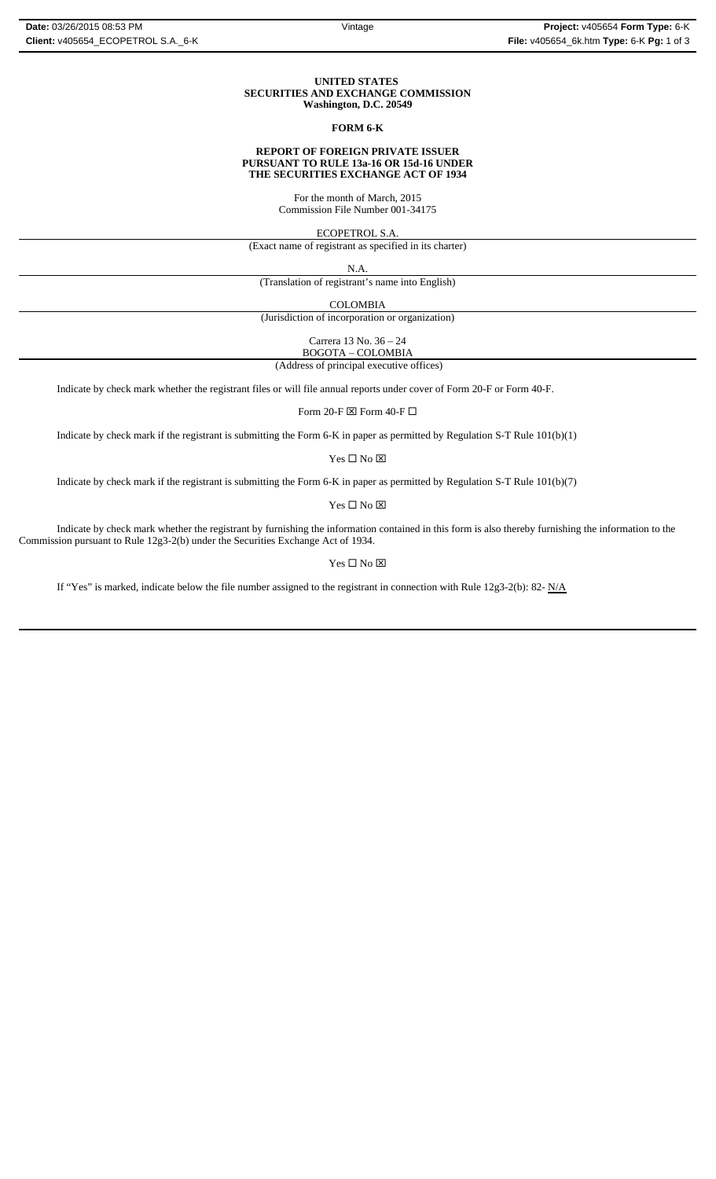#### **UNITED STATES SECURITIES AND EXCHANGE COMMISSION Washington, D.C. 20549**

### **FORM 6-K**

#### **REPORT OF FOREIGN PRIVATE ISSUER PURSUANT TO RULE 13a-16 OR 15d-16 UNDER THE SECURITIES EXCHANGE ACT OF 1934**

For the month of March, 2015 Commission File Number 001-34175

ECOPETROL S.A.

(Exact name of registrant as specified in its charter)

N.A.

(Translation of registrant's name into English)

COLOMBIA

(Jurisdiction of incorporation or organization)

Carrera 13 No. 36 – 24

BOGOTA – COLOMBIA

(Address of principal executive offices)

Indicate by check mark whether the registrant files or will file annual reports under cover of Form 20-F or Form 40-F.

Form 20-F  $\boxtimes$  Form 40-F  $\Box$ 

Indicate by check mark if the registrant is submitting the Form 6-K in paper as permitted by Regulation S-T Rule 101(b)(1)

Yes $\Box$  No  $\boxtimes$ 

Indicate by check mark if the registrant is submitting the Form 6-K in paper as permitted by Regulation S-T Rule 101(b)(7)

Yes □ No ⊠

Indicate by check mark whether the registrant by furnishing the information contained in this form is also thereby furnishing the information to the Commission pursuant to Rule 12g3-2(b) under the Securities Exchange Act of 1934.

 $\mathbf{Yes} \ \square \ \mathbf{No} \ \boxtimes$ 

If "Yes" is marked, indicate below the file number assigned to the registrant in connection with Rule 12g3-2(b): 82-  $N/A$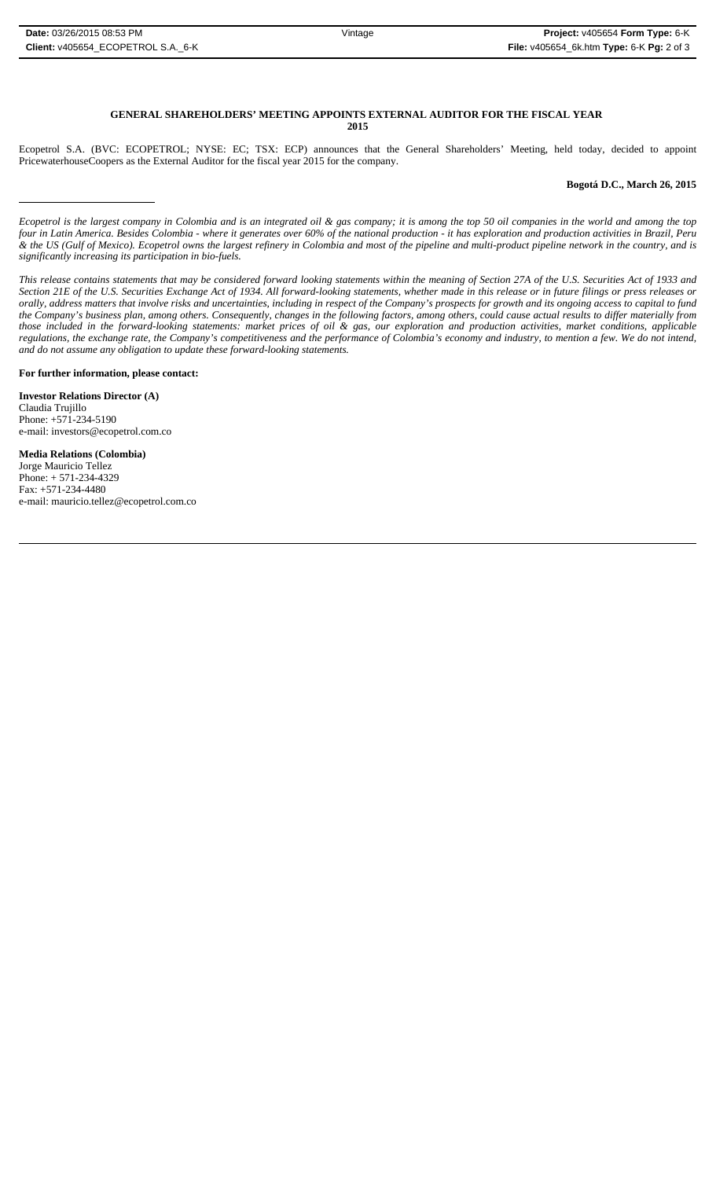#### **GENERAL SHAREHOLDERS' MEETING APPOINTS EXTERNAL AUDITOR FOR THE FISCAL YEAR 2015**

Ecopetrol S.A. (BVC: ECOPETROL; NYSE: EC; TSX: ECP) announces that the General Shareholders' Meeting, held today, decided to appoint PricewaterhouseCoopers as the External Auditor for the fiscal year 2015 for the company.

## **Bogotá D.C., March 26, 2015**

*Ecopetrol is the largest company in Colombia and is an integrated oil & gas company; it is among the top 50 oil companies in the world and among the top four in Latin America. Besides Colombia - where it generates over 60% of the national production - it has exploration and production activities in Brazil, Peru & the US (Gulf of Mexico). Ecopetrol owns the largest refinery in Colombia and most of the pipeline and multi-product pipeline network in the country, and is significantly increasing its participation in bio-fuels.*

*This release contains statements that may be considered forward looking statements within the meaning of Section 27A of the U.S. Securities Act of 1933 and Section 21E of the U.S. Securities Exchange Act of 1934. All forward-looking statements, whether made in this release or in future filings or press releases or orally, address matters that involve risks and uncertainties, including in respect of the Company's prospects for growth and its ongoing access to capital to fund the Company's business plan, among others. Consequently, changes in the following factors, among others, could cause actual results to differ materially from those included in the forward-looking statements: market prices of oil & gas, our exploration and production activities, market conditions, applicable regulations, the exchange rate, the Company's competitiveness and the performance of Colombia's economy and industry, to mention a few. We do not intend, and do not assume any obligation to update these forward-looking statements.*

**For further information, please contact:** 

**Investor Relations Director (A)** Claudia Trujillo Phone: +571-234-5190 e-mail: investors@ecopetrol.com.co

**Media Relations (Colombia)**  Jorge Mauricio Tellez Phone: + 571-234-4329 Fax: +571-234-4480 e-mail: mauricio.tellez@ecopetrol.com.co